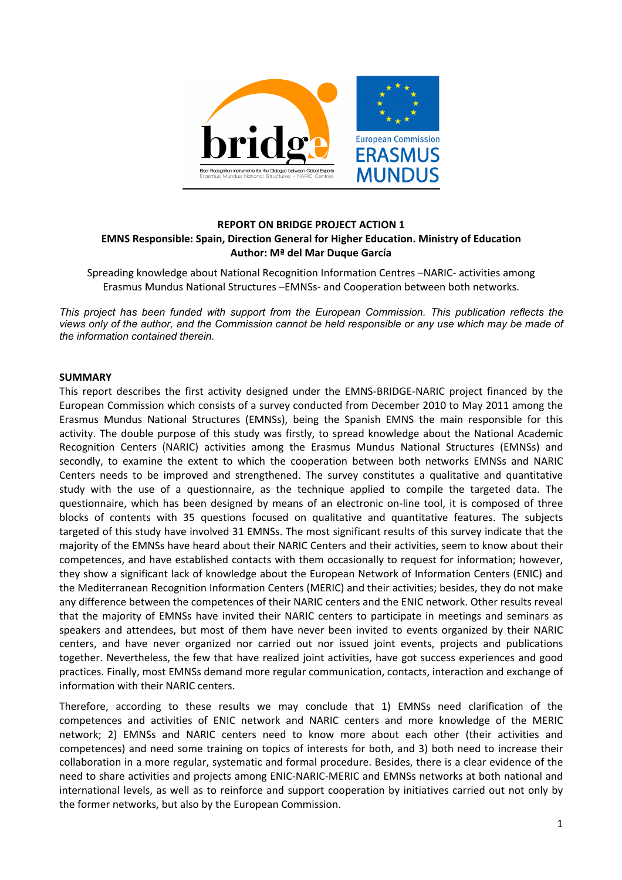

# **REPORT ON BRIDGE PROJECT ACTION 1 EMNS Responsible: Spain, Direction General for Higher Education. Ministry of Education Author:!Mª!del!Mar!Duque!García**

Spreading knowledge about National Recognition Information Centres –NARIC- activities among Erasmus Mundus National Structures –EMNSs- and Cooperation between both networks.

*This project has been funded with support from the European Commission. This publication reflects the views only of the author, and the Commission cannot be held responsible or any use which may be made of the information contained therein.*

# **SUMMARY**

This report describes the first activity designed under the EMNS-BRIDGE-NARIC project financed by the European Commission which consists of a survey conducted from December 2010 to May 2011 among the Erasmus Mundus National Structures (EMNSs), being the Spanish EMNS the main responsible for this activity. The double purpose of this study was firstly, to spread knowledge about the National Academic Recognition Centers (NARIC) activities among the Erasmus Mundus National Structures (EMNSs) and secondly, to examine the extent to which the cooperation between both networks EMNSs and NARIC Centers needs to be improved and strengthened. The survey constitutes a qualitative and quantitative study with the use of a questionnaire, as the technique applied to compile the targeted data. The questionnaire, which has been designed by means of an electronic on-line tool, it is composed of three blocks of contents with 35 questions focused on qualitative and quantitative features. The subjects targeted of this study have involved 31 EMNSs. The most significant results of this survey indicate that the majority of the EMNSs have heard about their NARIC Centers and their activities, seem to know about their competences, and have established contacts with them occasionally to request for information; however, they show a significant lack of knowledge about the European Network of Information Centers (ENIC) and the Mediterranean Recognition Information Centers (MERIC) and their activities; besides, they do not make any difference between the competences of their NARIC centers and the ENIC network. Other results reveal that the majority of EMNSs have invited their NARIC centers to participate in meetings and seminars as speakers and attendees, but most of them have never been invited to events organized by their NARIC centers, and have never organized nor carried out nor issued joint events, projects and publications together. Nevertheless, the few that have realized joint activities, have got success experiences and good practices. Finally, most EMNSs demand more regular communication, contacts, interaction and exchange of information with their NARIC centers.

Therefore, according to these results we may conclude that 1) EMNSs need clarification of the competences and activities of ENIC network and NARIC centers and more knowledge of the MERIC network; 2) EMNSs and NARIC centers need to know more about each other (their activities and competences) and need some training on topics of interests for both, and 3) both need to increase their collaboration in a more regular, systematic and formal procedure. Besides, there is a clear evidence of the need to share activities and projects among ENIC-NARIC-MERIC and EMNSs networks at both national and international levels, as well as to reinforce and support cooperation by initiatives carried out not only by the former networks, but also by the European Commission.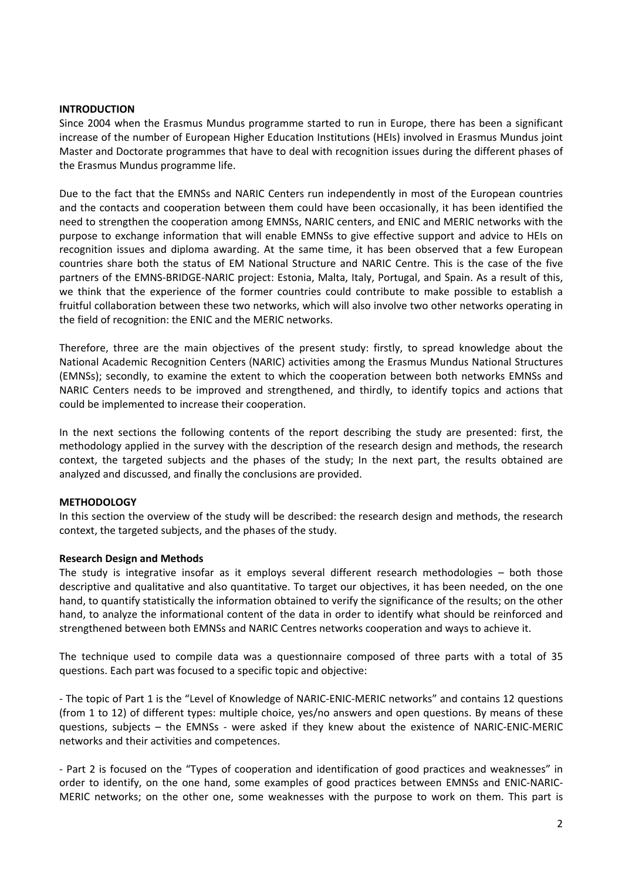## **INTRODUCTION**

Since 2004 when the Erasmus Mundus programme started to run in Europe, there has been a significant increase of the number of European Higher Education Institutions (HEIs) involved in Erasmus Mundus joint Master and Doctorate programmes that have to deal with recognition issues during the different phases of the Erasmus Mundus programme life.

Due to the fact that the EMNSs and NARIC Centers run independently in most of the European countries and the contacts and cooperation between them could have been occasionally, it has been identified the need to strengthen the cooperation among EMNSs, NARIC centers, and ENIC and MERIC networks with the purpose to exchange information that will enable EMNSs to give effective support and advice to HEIs on recognition issues and diploma awarding. At the same time, it has been observed that a few European countries share both the status of EM National Structure and NARIC Centre. This is the case of the five partners of the EMNS-BRIDGE-NARIC project: Estonia, Malta, Italy, Portugal, and Spain. As a result of this, we think that the experience of the former countries could contribute to make possible to establish a fruitful collaboration between these two networks, which will also involve two other networks operating in the field of recognition: the ENIC and the MERIC networks.

Therefore, three are the main objectives of the present study: firstly, to spread knowledge about the National Academic Recognition Centers (NARIC) activities among the Erasmus Mundus National Structures (EMNSs); secondly, to examine the extent to which the cooperation between both networks EMNSs and NARIC Centers needs to be improved and strengthened, and thirdly, to identify topics and actions that could be implemented to increase their cooperation.

In the next sections the following contents of the report describing the study are presented: first, the methodology applied in the survey with the description of the research design and methods, the research context, the targeted subjects and the phases of the study; In the next part, the results obtained are analyzed and discussed, and finally the conclusions are provided.

# **METHODOLOGY**

In this section the overview of the study will be described: the research design and methods, the research context, the targeted subjects, and the phases of the study.

## **Research!Design!and!Methods**

The study is integrative insofar as it employs several different research methodologies  $-$  both those descriptive and qualitative and also quantitative. To target our objectives, it has been needed, on the one hand, to quantify statistically the information obtained to verify the significance of the results; on the other hand, to analyze the informational content of the data in order to identify what should be reinforced and strengthened between both EMNSs and NARIC Centres networks cooperation and ways to achieve it.

The technique used to compile data was a questionnaire composed of three parts with a total of 35 questions. Each part was focused to a specific topic and objective:

- The topic of Part 1 is the "Level of Knowledge of NARIC-ENIC-MERIC networks" and contains 12 questions (from 1 to 12) of different types: multiple choice, yes/no answers and open questions. By means of these questions, subjects - the EMNSs - were asked if they knew about the existence of NARIC-ENIC-MERIC networks and their activities and competences.

- Part 2 is focused on the "Types of cooperation and identification of good practices and weaknesses" in order to identify, on the one hand, some examples of good practices between EMNSs and ENIC-NARIC-MERIC networks; on the other one, some weaknesses with the purpose to work on them. This part is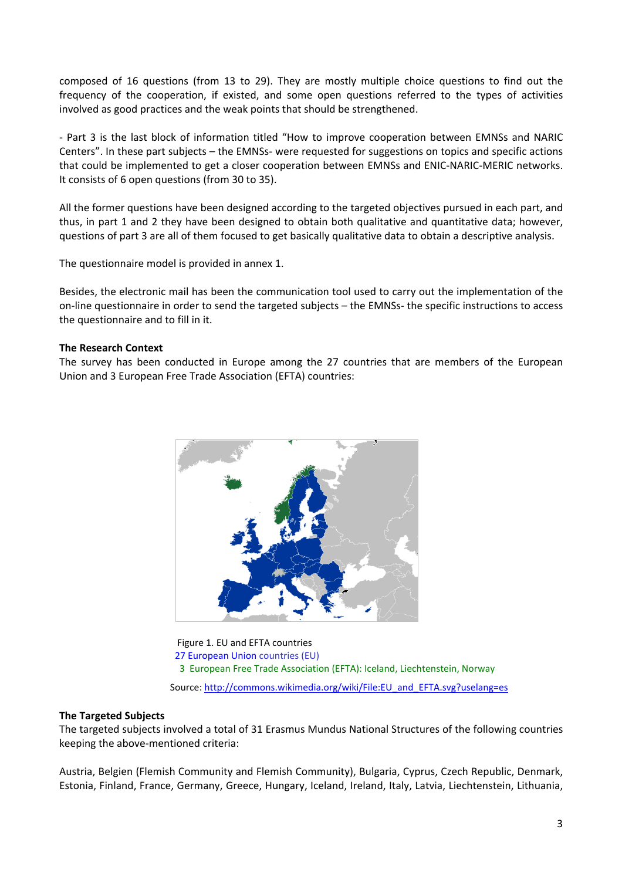composed of 16 questions (from 13 to 29). They are mostly multiple choice questions to find out the frequency of the cooperation, if existed, and some open questions referred to the types of activities involved as good practices and the weak points that should be strengthened.

- Part 3 is the last block of information titled "How to improve cooperation between EMNSs and NARIC Centers". In these part subjects – the EMNSs- were requested for suggestions on topics and specific actions that could be implemented to get a closer cooperation between EMNSs and ENIC-NARIC-MERIC networks. It consists of 6 open questions (from 30 to 35).

All the former questions have been designed according to the targeted objectives pursued in each part, and thus, in part 1 and 2 they have been designed to obtain both qualitative and quantitative data; however, questions of part 3 are all of them focused to get basically qualitative data to obtain a descriptive analysis.

The questionnaire model is provided in annex 1.

Besides, the electronic mail has been the communication tool used to carry out the implementation of the on-line questionnaire in order to send the targeted subjects – the EMNSs- the specific instructions to access the questionnaire and to fill in it.

# **The Research Context**

The survey has been conducted in Europe among the 27 countries that are members of the European Union and 3 European Free Trade Association (EFTA) countries:



Figure 1. EU and EFTA countries 27 European Union countries (EU) 3 European Free Trade Association (EFTA): Iceland, Liechtenstein, Norway

Source: http://commons.wikimedia.org/wiki/File:EU\_and\_EFTA.svg?uselang=es

# **The Targeted Subjects**

The targeted subjects involved a total of 31 Erasmus Mundus National Structures of the following countries keeping the above-mentioned criteria:

Austria, Belgien (Flemish Community and Flemish Community), Bulgaria, Cyprus, Czech Republic, Denmark, Estonia, Finland, France, Germany, Greece, Hungary, Iceland, Ireland, Italy, Latvia, Liechtenstein, Lithuania,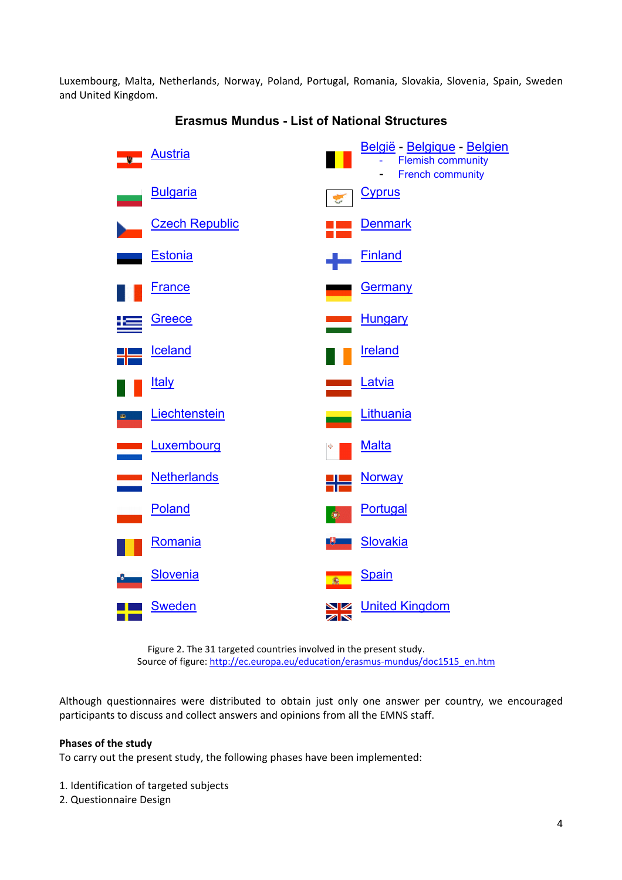Luxembourg, Malta, Netherlands, Norway, Poland, Portugal, Romania, Slovakia, Slovenia, Spain, Sweden and United Kingdom.

| <b>B</b> | <b>Austria</b>        |              | België - Belgique - Belgien<br><b>Flemish community</b><br><b>French community</b> |
|----------|-----------------------|--------------|------------------------------------------------------------------------------------|
|          | <b>Bulgaria</b>       |              | <u>Cyprus</u>                                                                      |
|          | <b>Czech Republic</b> |              | <b>Denmark</b>                                                                     |
|          | <b>Estonia</b>        |              | <b>Finland</b>                                                                     |
|          | <b>France</b>         |              | <b>Germany</b>                                                                     |
|          | <b>Greece</b>         |              | <b>Hungary</b>                                                                     |
|          | <b>Iceland</b>        |              | <b>Ireland</b>                                                                     |
|          | <u>Italy</u>          |              | Latvia                                                                             |
|          | Liechtenstein         |              | Lithuania                                                                          |
|          | Luxembourg            |              | <b>Malta</b>                                                                       |
|          | Netherlands           |              | <b>Norway</b>                                                                      |
|          | Poland                | e            | <b>Portugal</b>                                                                    |
|          | Romania               | 电            | Slovakia                                                                           |
|          | <b>Slovenia</b>       | $\mathbf{R}$ | <b>Spain</b>                                                                       |
|          | <b>Sweden</b>         | ◥◿<br>ZN     | <b>United Kingdom</b>                                                              |

**Erasmus Mundus - List of National Structures**

Figure 2. The 31 targeted countries involved in the present study. Source of figure: http://ec.europa.eu/education/erasmus-mundus/doc1515\_en.htm

Although questionnaires were distributed to obtain just only one answer per country, we encouraged participants to discuss and collect answers and opinions from all the EMNS staff.

# **Phases of the study**

To carry out the present study, the following phases have been implemented:

- 1. Identification of targeted subjects
- 2. Questionnaire Design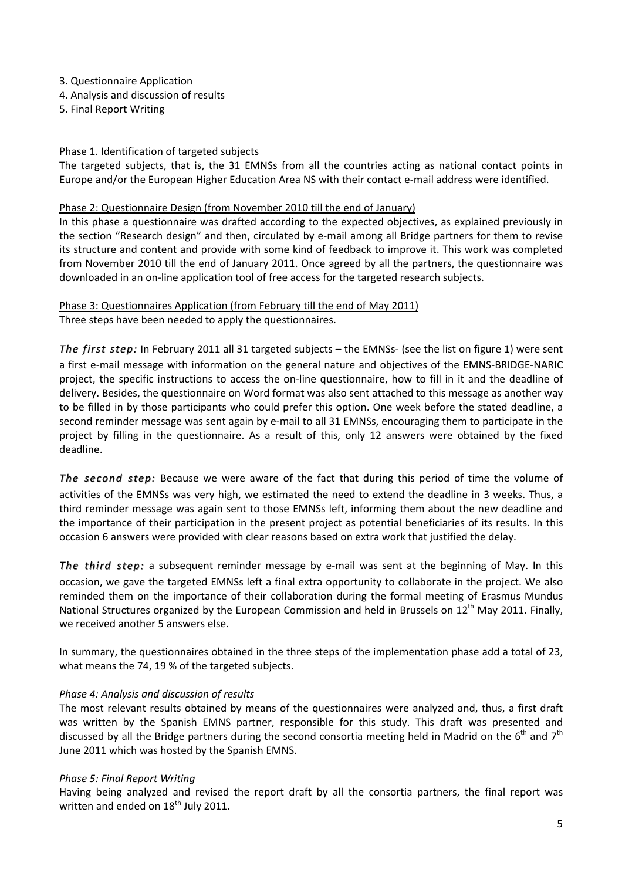- 3. Questionnaire Application
- 4. Analysis and discussion of results
- 5. Final Report Writing

# Phase 1. Identification of targeted subjects

The targeted subjects, that is, the 31 EMNSs from all the countries acting as national contact points in Europe and/or the European Higher Education Area NS with their contact e-mail address were identified.

# Phase 2: Questionnaire Design (from November 2010 till the end of January)

In this phase a questionnaire was drafted according to the expected objectives, as explained previously in the section "Research design" and then, circulated by e-mail among all Bridge partners for them to revise its structure and content and provide with some kind of feedback to improve it. This work was completed from November 2010 till the end of January 2011. Once agreed by all the partners, the questionnaire was downloaded in an on-line application tool of free access for the targeted research subjects.

# Phase 3: Questionnaires Application (from February till the end of May 2011) Three steps have been needed to apply the questionnaires.

*The first step:* In February 2011 all 31 targeted subjects – the EMNSs- (see the list on figure 1) were sent a first e-mail message with information on the general nature and objectives of the EMNS-BRIDGE-NARIC project, the specific instructions to access the on-line questionnaire, how to fill in it and the deadline of delivery. Besides, the questionnaire on Word format was also sent attached to this message as another way to be filled in by those participants who could prefer this option. One week before the stated deadline, a second reminder message was sent again by e-mail to all 31 EMNSs, encouraging them to participate in the project by filling in the questionnaire. As a result of this, only 12 answers were obtained by the fixed deadline.

*The second step:* Because we were aware of the fact that during this period of time the volume of activities of the EMNSs was very high, we estimated the need to extend the deadline in 3 weeks. Thus, a third reminder message was again sent to those EMNSs left, informing them about the new deadline and the importance of their participation in the present project as potential beneficiaries of its results. In this occasion 6 answers were provided with clear reasons based on extra work that justified the delay.

*The third step:* a subsequent reminder message by e-mail was sent at the beginning of May. In this occasion, we gave the targeted EMNSs left a final extra opportunity to collaborate in the project. We also reminded them on the importance of their collaboration during the formal meeting of Erasmus Mundus National Structures organized by the European Commission and held in Brussels on 12<sup>th</sup> May 2011. Finally, we received another 5 answers else.

In summary, the questionnaires obtained in the three steps of the implementation phase add a total of 23, what means the 74, 19 % of the targeted subjects.

# *Phase 4: Analysis and discussion of results*

The most relevant results obtained by means of the questionnaires were analyzed and, thus, a first draft was written by the Spanish EMNS partner, responsible for this study. This draft was presented and discussed by all the Bridge partners during the second consortia meeting held in Madrid on the  $6<sup>th</sup>$  and  $7<sup>th</sup>$ June 2011 which was hosted by the Spanish EMNS.

# **Phase 5: Final Report Writing**

Having being analyzed and revised the report draft by all the consortia partners, the final report was written and ended on 18<sup>th</sup> July 2011.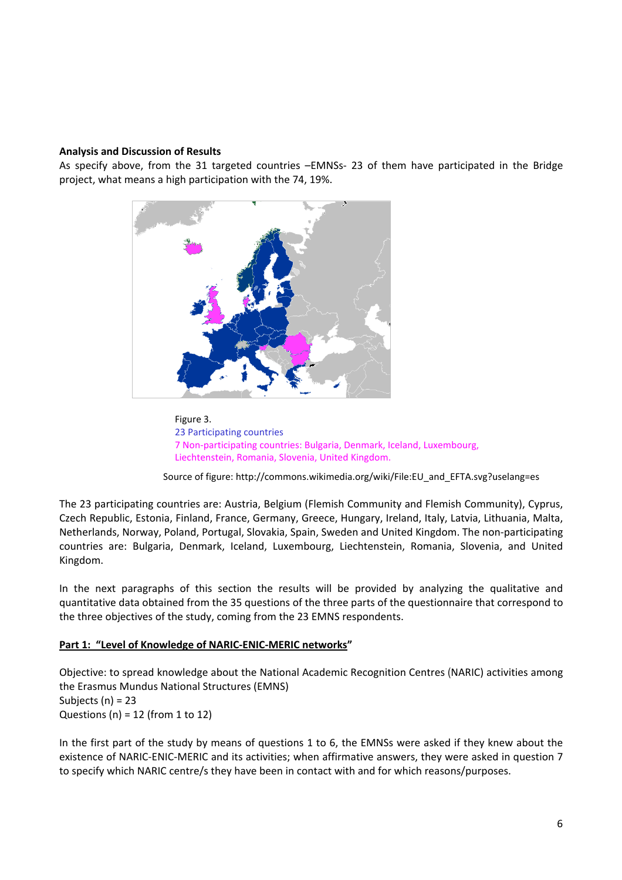# **Analysis and Discussion of Results**

As specify above, from the 31 targeted countries –EMNSs- 23 of them have participated in the Bridge project, what means a high participation with the 74, 19%.



Figure 3. 23 Participating countries 7 Non-participating countries: Bulgaria, Denmark, Iceland, Luxembourg, Liechtenstein, Romania, Slovenia, United Kingdom.

Source of figure: http://commons.wikimedia.org/wiki/File:EU and EFTA.svg?uselang=es

The 23 participating countries are: Austria, Belgium (Flemish Community and Flemish Community), Cyprus, Czech Republic, Estonia, Finland, France, Germany, Greece, Hungary, Ireland, Italy, Latvia, Lithuania, Malta, Netherlands, Norway, Poland, Portugal, Slovakia, Spain, Sweden and United Kingdom. The non-participating countries are: Bulgaria, Denmark, Iceland, Luxembourg, Liechtenstein, Romania, Slovenia, and United Kingdom.

In the next paragraphs of this section the results will be provided by analyzing the qualitative and quantitative data obtained from the 35 questions of the three parts of the questionnaire that correspond to the three objectives of the study, coming from the 23 EMNS respondents.

# Part 1: "Level of Knowledge of NARIC-ENIC-MERIC networks"

Objective: to spread knowledge about the National Academic Recognition Centres (NARIC) activities among the Erasmus Mundus National Structures (EMNS) Subjects (n) =  $23$ Questions (n) =  $12$  (from 1 to 12)

In the first part of the study by means of questions 1 to 6, the EMNSs were asked if they knew about the existence of NARIC-ENIC-MERIC and its activities; when affirmative answers, they were asked in question 7 to specify which NARIC centre/s they have been in contact with and for which reasons/purposes.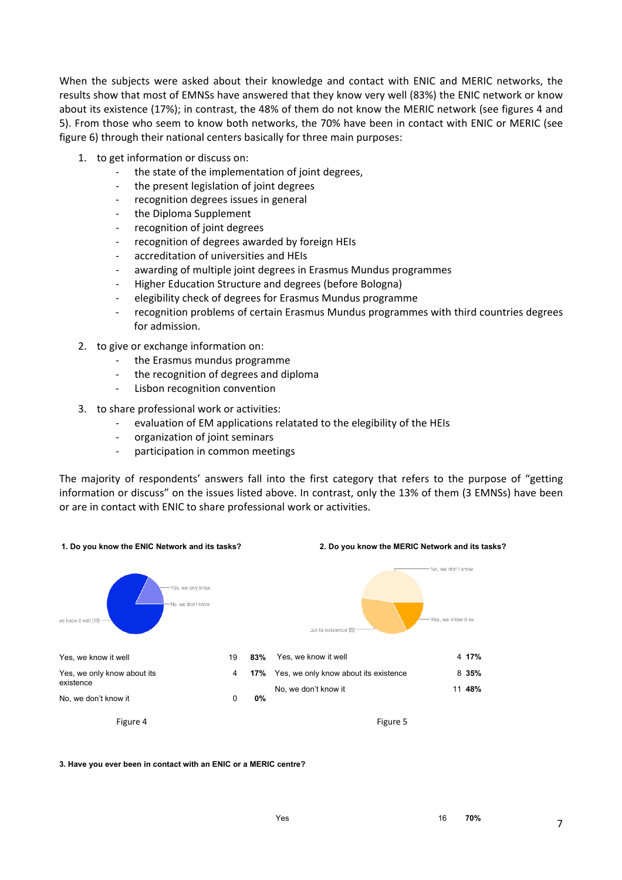When the subjects were asked about their knowledge and contact with ENIC and MERIC networks, the results show that most of EMNSs have answered that they know very well (83%) the ENIC network or know about its existence (17%); in contrast, the 48% of them do not know the MERIC network (see figures 4 and 5). From those who seem to know both networks, the 70% have been in contact with ENIC or MERIC (see figure 6) through their national centers basically for three main purposes:

- 1. to get information or discuss on:
	- the state of the implementation of joint degrees,
	- the present legislation of joint degrees
	- recognition degrees issues in general
	- the Diploma Supplement
	- recognition of joint degrees
	- recognition of degrees awarded by foreign HEIs
	- accreditation of universities and HEIs
	- awarding of multiple joint degrees in Erasmus Mundus programmes
	- Higher Education Structure and degrees (before Bologna)
	- elegibility check of degrees for Erasmus Mundus programme
	- recognition problems of certain Erasmus Mundus programmes with third countries degrees for admission.
- 2. to give or exchange information on:
	- the Erasmus mundus programme
	- the recognition of degrees and diploma
	- Lisbon recognition convention
- 3. to share professional work or activities:
	- evaluation of EM applications relatated to the elegibility of the HEIs
	- organization of joint seminars
	- participation in common meetings

The majority of respondents' answers fall into the first category that refers to the purpose of "getting information or discuss" on the issues listed above. In contrast, only the 13% of them (3 EMNSs) have been or are in contact with ENIC to share professional work or activities.



### **3. Have you ever been in contact with an ENIC or a MERIC centre?**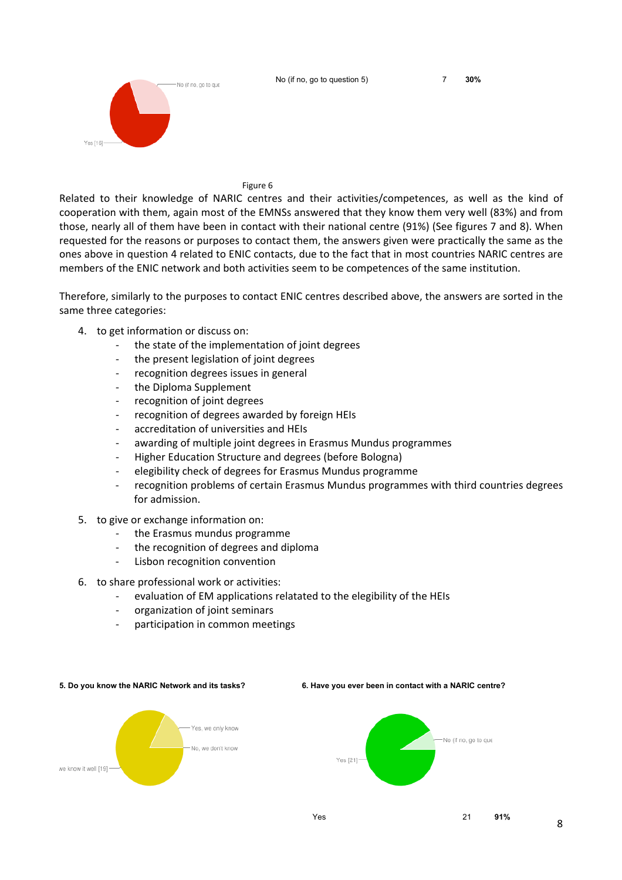

Related to their knowledge of NARIC centres and their activities/competences, as well as the kind of cooperation with them, again most of the EMNSs answered that they know them very well (83%) and from those, nearly all of them have been in contact with their national centre (91%) (See figures 7 and 8). When requested for the reasons or purposes to contact them, the answers given were practically the same as the ones above in question 4 related to ENIC contacts, due to the fact that in most countries NARIC centres are members of the ENIC network and both activities seem to be competences of the same institution.

Therefore, similarly to the purposes to contact ENIC centres described above, the answers are sorted in the same three categories:

- 4. to get information or discuss on:
	- the state of the implementation of joint degrees
	- the present legislation of joint degrees
	- recognition degrees issues in general
	- the Diploma Supplement
	- recognition of joint degrees
	- recognition of degrees awarded by foreign HEIs
	- accreditation of universities and HEIs
	- awarding of multiple joint degrees in Erasmus Mundus programmes
	- Higher Education Structure and degrees (before Bologna)
	- elegibility check of degrees for Erasmus Mundus programme
	- recognition problems of certain Erasmus Mundus programmes with third countries degrees for admission.
- 5. to give or exchange information on:
	- the Erasmus mundus programme
	- the recognition of degrees and diploma
	- Lisbon recognition convention
- 6. to share professional work or activities:
	- evaluation of EM applications relatated to the elegibility of the HEIs
	- organization of joint seminars
	- participation in common meetings

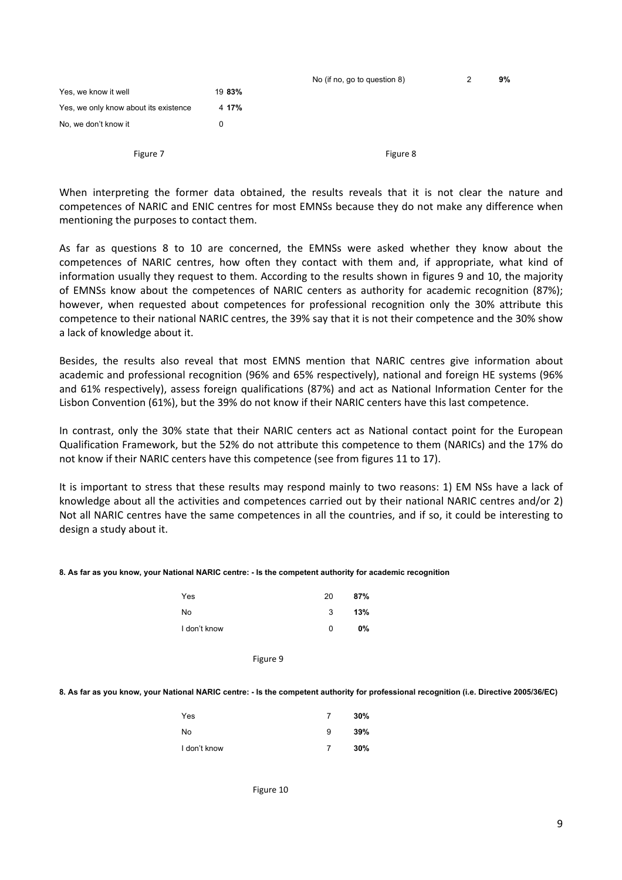|                                       |        | No (if no, go to question 8) | っ | 9% |
|---------------------------------------|--------|------------------------------|---|----|
| Yes, we know it well                  | 19 83% |                              |   |    |
| Yes, we only know about its existence | 4 17%  |                              |   |    |
| No, we don't know it                  | 0      |                              |   |    |
|                                       |        |                              |   |    |
| Figure 7                              |        | Figure 8                     |   |    |

When interpreting the former data obtained, the results reveals that it is not clear the nature and competences of NARIC and ENIC centres for most EMNSs because they do not make any difference when mentioning the purposes to contact them.

As far as questions 8 to 10 are concerned, the EMNSs were asked whether they know about the competences of NARIC centres, how often they contact with them and, if appropriate, what kind of information usually they request to them. According to the results shown in figures 9 and 10, the majority of EMNSs know about the competences of NARIC centers as authority for academic recognition (87%); however, when requested about competences for professional recognition only the 30% attribute this competence to their national NARIC centres, the 39% say that it is not their competence and the 30% show a lack of knowledge about it.

Besides, the results also reveal that most EMNS mention that NARIC centres give information about academic and professional recognition (96% and 65% respectively), national and foreign HE systems (96% and 61% respectively), assess foreign qualifications (87%) and act as National Information Center for the Lisbon Convention (61%), but the 39% do not know if their NARIC centers have this last competence.

In contrast, only the 30% state that their NARIC centers act as National contact point for the European Qualification Framework, but the 52% do not attribute this competence to them (NARICs) and the 17% do not know if their NARIC centers have this competence (see from figures 11 to 17).

It is important to stress that these results may respond mainly to two reasons: 1) EM NSs have a lack of knowledge about all the activities and competences carried out by their national NARIC centres and/or 2) Not all NARIC centres have the same competences in all the countries, and if so, it could be interesting to design a study about it.

### **8. As far as you know, your National NARIC centre: - Is the competent authority for academic recognition**

| Yes          | 20 | 87% |
|--------------|----|-----|
| No           | 3  | 13% |
| I don't know | 0  | 0%  |

#### Figure 9

**8. As far as you know, your National NARIC centre: - Is the competent authority for professional recognition (i.e. Directive 2005/36/EC)**

| Yes          |   | 30% |
|--------------|---|-----|
| No           | 9 | 39% |
| I don't know |   | 30% |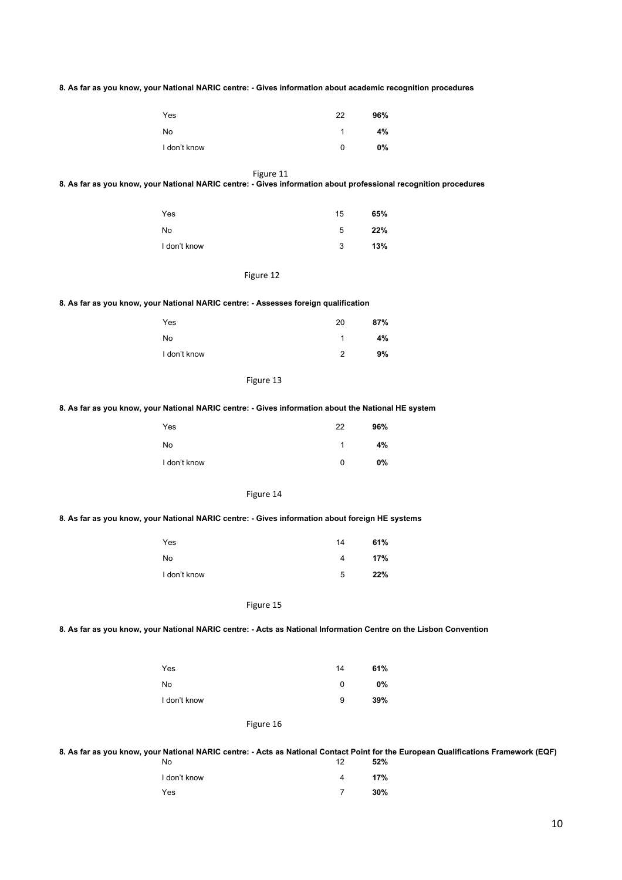|  | 8. As far as you know, your National NARIC centre: - Gives information about academic recognition procedures |  |  |  |  |
|--|--------------------------------------------------------------------------------------------------------------|--|--|--|--|
|--|--------------------------------------------------------------------------------------------------------------|--|--|--|--|

| Yes          | 22 | 96% |
|--------------|----|-----|
| No           |    | 4%  |
| I don't know | 0  | 0%  |

#### !!!!!!!!!!!!!!!!!!!!!!!!!!!!!!!!!!!!!!!!!!!!!!!!!!!!!!!!!!!!!!!!!!!!!!!!!!!!!!!!!!!!!!!!!!!Figure!11

**8. As far as you know, your National NARIC centre: - Gives information about professional recognition procedures**

| Yes          | 15 | 65% |
|--------------|----|-----|
| No           | 5  | 22% |
| I don't know | 3  | 13% |

#### Figure 12

## **8. As far as you know, your National NARIC centre: - Assesses foreign qualification**

| Yes          | 20 | 87% |
|--------------|----|-----|
| No           |    | 4%  |
| I don't know | 2  | 9%  |

### Figure 13

### **8. As far as you know, your National NARIC centre: - Gives information about the National HE system**

| Yes          | 22 | 96% |
|--------------|----|-----|
| No           | 1  | 4%  |
| I don't know | 0  | 0%  |

## Figure 14

### **8. As far as you know, your National NARIC centre: - Gives information about foreign HE systems**

| Yes          | 14 | 61% |
|--------------|----|-----|
| No           |    | 17% |
| I don't know | 5  | 22% |

## Figure 15

**8. As far as you know, your National NARIC centre: - Acts as National Information Centre on the Lisbon Convention**

| Yes          | 14 | 61% |
|--------------|----|-----|
| No           | 0  | 0%  |
| I don't know | 9  | 39% |

#### Figure 16

**8. As far as you know, your National NARIC centre: - Acts as National Contact Point for the European Qualifications Framework (EQF)**

| No           | 12 | 52% |
|--------------|----|-----|
| I don't know |    | 17% |
| Yes          |    | 30% |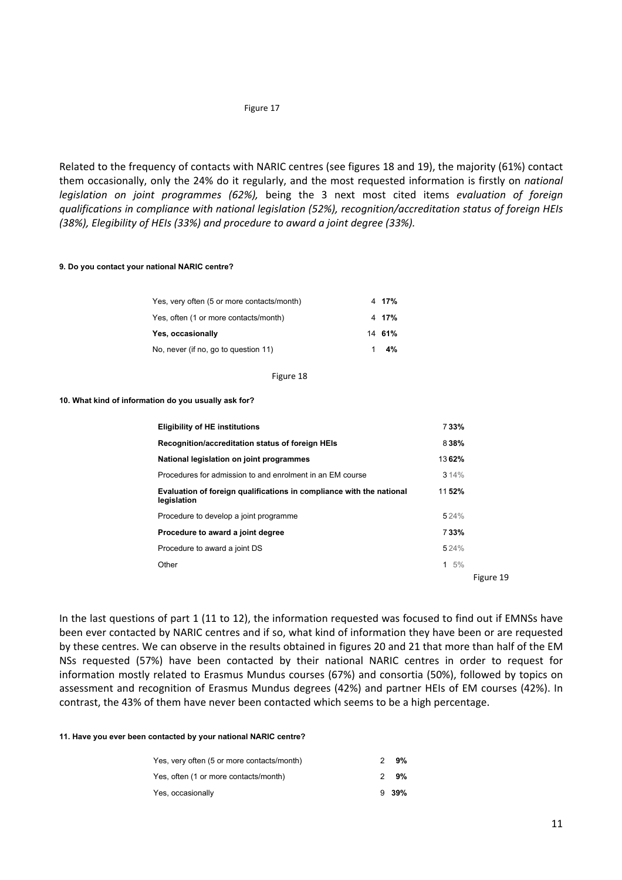Related to the frequency of contacts with NARIC centres (see figures 18 and 19), the majority (61%) contact them occasionally, only the 24% do it regularly, and the most requested information is firstly on *national legislation on joint programmes (62%),* being the 3 next most cited items *evaluation of foreign qualifications in compliance with national legislation (52%), recognition/accreditation status of foreign HEIs (38%), Elegibility of HEIs (33%) and procedure to award a joint degree (33%).* 

#### **9. Do you contact your national NARIC centre?**

| Yes, very often (5 or more contacts/month) |    | 4 17%  |
|--------------------------------------------|----|--------|
| Yes, often (1 or more contacts/month)      |    | 4 17%  |
| Yes, occasionally                          |    | 14 61% |
| No, never (if no, go to question 11)       | 1. | 4%     |
|                                            |    |        |

Figure 18

#### **10. What kind of information do you usually ask for?**

| <b>Eligibility of HE institutions</b>                                               | 733%  |           |
|-------------------------------------------------------------------------------------|-------|-----------|
| Recognition/accreditation status of foreign HEIs                                    | 838%  |           |
| National legislation on joint programmes                                            | 1362% |           |
| Procedures for admission to and enrolment in an EM course                           | 314%  |           |
| Evaluation of foreign qualifications in compliance with the national<br>legislation | 1152% |           |
| Procedure to develop a joint programme                                              | 5 24% |           |
| Procedure to award a joint degree                                                   | 733%  |           |
| Procedure to award a joint DS                                                       | 524%  |           |
| Other                                                                               | 1.5%  |           |
|                                                                                     |       | Figure 19 |

In the last questions of part 1 (11 to 12), the information requested was focused to find out if EMNSs have been ever contacted by NARIC centres and if so, what kind of information they have been or are requested by these centres. We can observe in the results obtained in figures 20 and 21 that more than half of the EM NSs requested (57%) have been contacted by their national NARIC centres in order to request for information mostly related to Erasmus Mundus courses (67%) and consortia (50%), followed by topics on assessment and recognition of Erasmus Mundus degrees (42%) and partner HEIs of EM courses (42%). In contrast, the 43% of them have never been contacted which seems to be a high percentage.

#### **11. Have you ever been contacted by your national NARIC centre?**

| Yes, very often (5 or more contacts/month) | 2.            | 9%       |
|--------------------------------------------|---------------|----------|
| Yes, often (1 or more contacts/month)      | $\mathcal{P}$ | 9%       |
| Yes, occasionally                          |               | $9.39\%$ |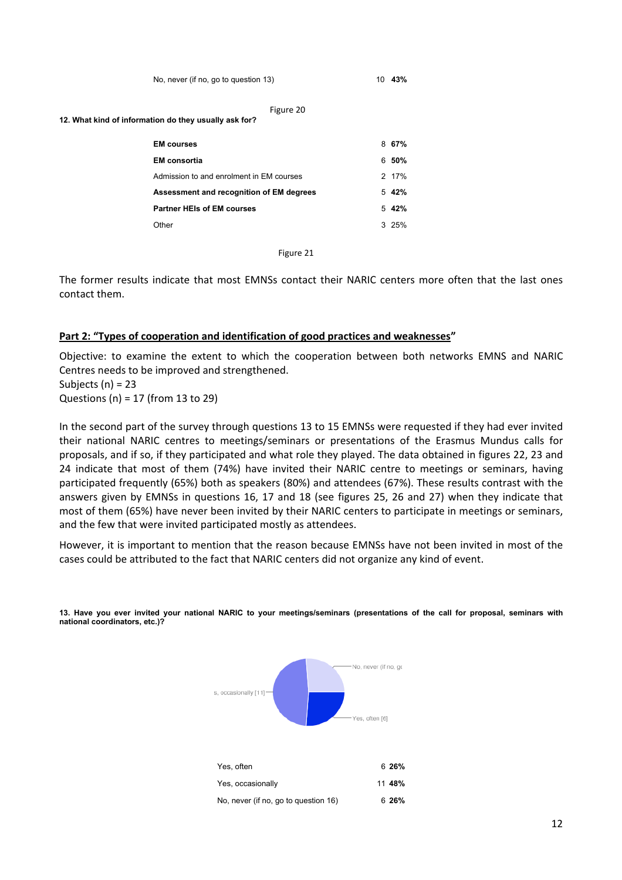| No, never (if no, go to question 13) |  |  | 10 43% |
|--------------------------------------|--|--|--------|
|                                      |  |  |        |

**12. What kind of information do they usually ask for?**

| <b>EM</b> courses                        | 8  | 67%       |
|------------------------------------------|----|-----------|
| <b>EM</b> consortia                      | 6. | 50%       |
| Admission to and enrolment in EM courses |    | 2 17%     |
| Assessment and recognition of EM degrees |    | 5 42%     |
| <b>Partner HEIs of EM courses</b>        |    | $5\,42\%$ |
| Other                                    |    | 325%      |
|                                          |    |           |

Figure 21

The former results indicate that most EMNSs contact their NARIC centers more often that the last ones contact them.

# Part 2: "Types of cooperation and identification of good practices and weaknesses"

Objective: to examine the extent to which the cooperation between both networks EMNS and NARIC Centres needs to be improved and strengthened. Subjects  $(n) = 23$ Questions (n) =  $17$  (from 13 to 29)

In the second part of the survey through questions 13 to 15 EMNSs were requested if they had ever invited their national NARIC centres to meetings/seminars or presentations of the Erasmus Mundus calls for proposals, and if so, if they participated and what role they played. The data obtained in figures 22, 23 and 24 indicate that most of them (74%) have invited their NARIC centre to meetings or seminars, having participated frequently (65%) both as speakers (80%) and attendees (67%). These results contrast with the answers given by EMNSs in questions 16, 17 and 18 (see figures 25, 26 and 27) when they indicate that most of them (65%) have never been invited by their NARIC centers to participate in meetings or seminars, and the few that were invited participated mostly as attendees.

However, it is important to mention that the reason because EMNSs have not been invited in most of the cases could be attributed to the fact that NARIC centers did not organize any kind of event.



**13. Have you ever invited your national NARIC to your meetings/seminars (presentations of the call for proposal, seminars with national coordinators, etc.)?**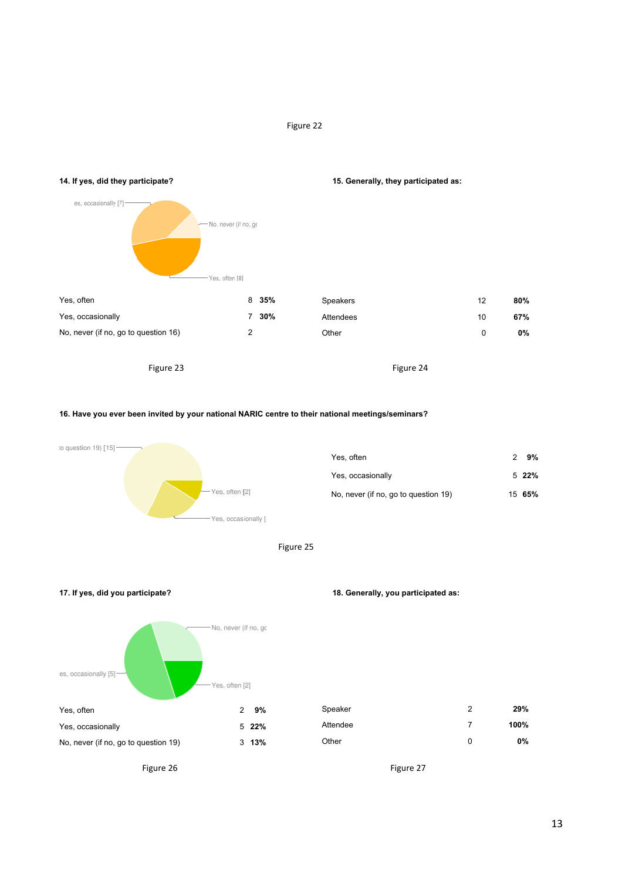

## **16. Have you ever been invited by your national NARIC centre to their national meetings/seminars?**







# **17. If yes, did you participate? 18. Generally, you participated as:**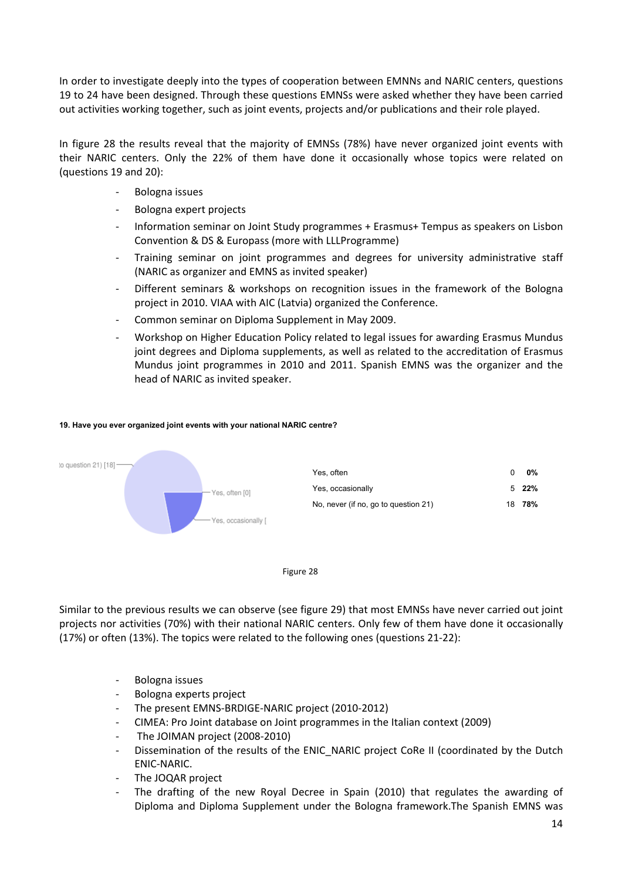In order to investigate deeply into the types of cooperation between EMNNs and NARIC centers, questions 19 to 24 have been designed. Through these questions EMNSs were asked whether they have been carried out activities working together, such as joint events, projects and/or publications and their role played.

In figure 28 the results reveal that the majority of EMNSs (78%) have never organized joint events with their NARIC centers. Only the 22% of them have done it occasionally whose topics were related on (questions 19 and 20):

- Bologna issues
- Bologna expert projects
- Information seminar on Joint Study programmes + Erasmus+ Tempus as speakers on Lisbon Convention & DS & Europass (more with LLLProgramme)
- Training seminar on joint programmes and degrees for university administrative staff (NARIC as organizer and EMNS as invited speaker)
- Different seminars & workshops on recognition issues in the framework of the Bologna project in 2010. VIAA with AIC (Latvia) organized the Conference.
- Common seminar on Diploma Supplement in May 2009.
- Workshop on Higher Education Policy related to legal issues for awarding Erasmus Mundus joint degrees and Diploma supplements, as well as related to the accreditation of Erasmus Mundus joint programmes in 2010 and 2011. Spanish EMNS was the organizer and the head of NARIC as invited speaker.

## **19. Have you ever organized joint events with your national NARIC centre?**





Similar to the previous results we can observe (see figure 29) that most EMNSs have never carried out joint projects nor activities (70%) with their national NARIC centers. Only few of them have done it occasionally (17%) or often (13%). The topics were related to the following ones (questions  $21-22$ ):

- Bologna issues
- Bologna experts project
- The present EMNS-BRDIGE-NARIC project (2010-2012)
- CIMEA: Pro Joint database on Joint programmes in the Italian context (2009)
- The JOIMAN project (2008-2010)
- Dissemination of the results of the ENIC\_NARIC project CoRe II (coordinated by the Dutch ENIC=NARIC.
- The JOQAR project
- The drafting of the new Royal Decree in Spain (2010) that regulates the awarding of Diploma and Diploma Supplement under the Bologna framework.The Spanish EMNS was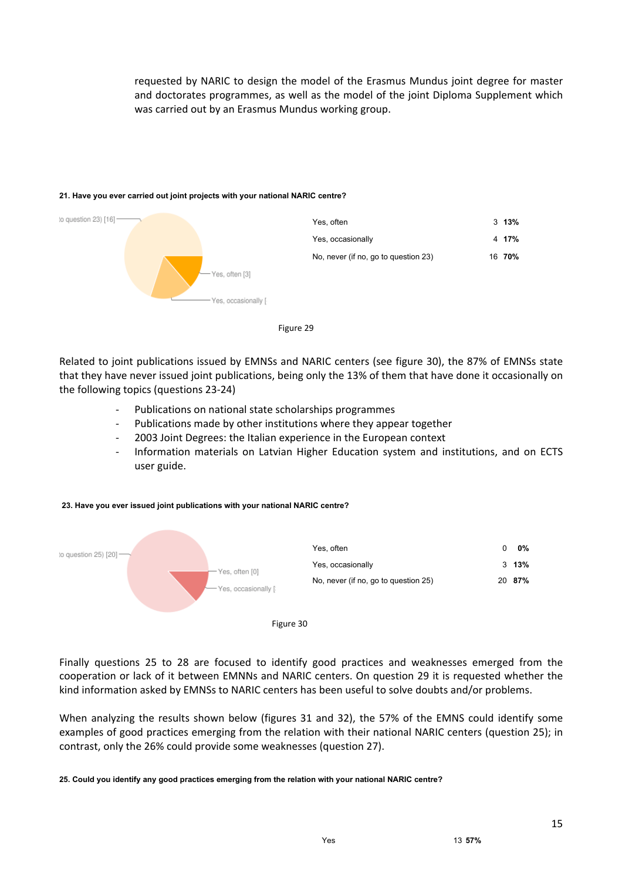requested by NARIC to design the model of the Erasmus Mundus joint degree for master and doctorates programmes, as well as the model of the joint Diploma Supplement which was carried out by an Erasmus Mundus working group.

## **21. Have you ever carried out joint projects with your national NARIC centre?**



Figure 29

Related to joint publications issued by EMNSs and NARIC centers (see figure 30), the 87% of EMNSs state that they have never issued joint publications, being only the 13% of them that have done it occasionally on the following topics (questions 23-24)

- Publications on national state scholarships programmes
- Publications made by other institutions where they appear together
- 2003 Joint Degrees: the Italian experience in the European context
- Information materials on Latvian Higher Education system and institutions, and on ECTS user guide.

### **23. Have you ever issued joint publications with your national NARIC centre?**



Finally questions 25 to 28 are focused to identify good practices and weaknesses emerged from the cooperation or lack of it between EMNNs and NARIC centers. On question 29 it is requested whether the kind information asked by EMNSs to NARIC centers has been useful to solve doubts and/or problems.

When analyzing the results shown below (figures 31 and 32), the 57% of the EMNS could identify some examples of good practices emerging from the relation with their national NARIC centers (question 25); in contrast, only the 26% could provide some weaknesses (question 27).

### **25. Could you identify any good practices emerging from the relation with your national NARIC centre?**

15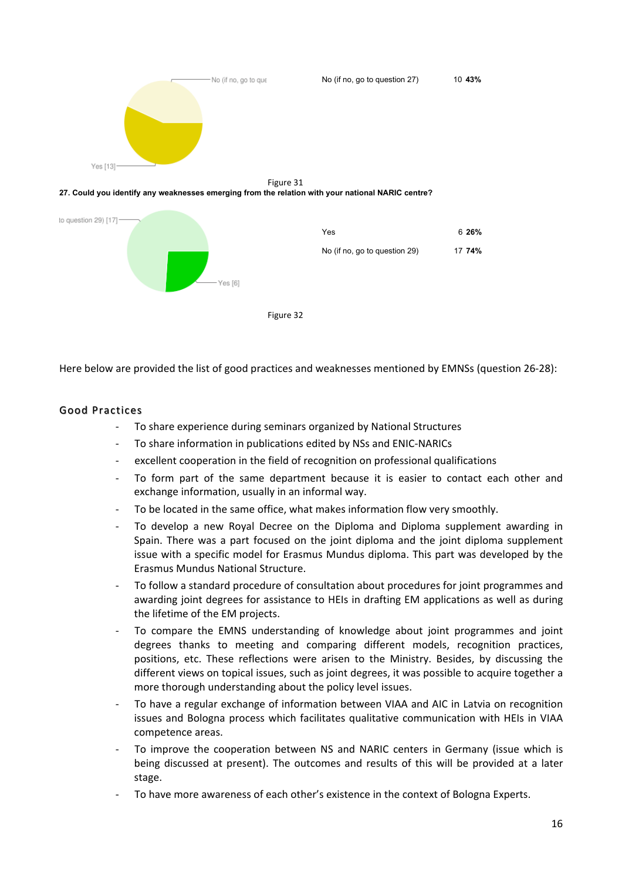



Here below are provided the list of good practices and weaknesses mentioned by EMNSs (question 26-28):

# Good Practices

- To share experience during seminars organized by National Structures
- To share information in publications edited by NSs and ENIC-NARICs
- excellent cooperation in the field of recognition on professional qualifications
- To form part of the same department because it is easier to contact each other and exchange information, usually in an informal way.
- To be located in the same office, what makes information flow very smoothly.
- To develop a new Royal Decree on the Diploma and Diploma supplement awarding in Spain. There was a part focused on the joint diploma and the joint diploma supplement issue with a specific model for Erasmus Mundus diploma. This part was developed by the Erasmus Mundus National Structure.
- To follow a standard procedure of consultation about procedures for joint programmes and awarding joint degrees for assistance to HEIs in drafting EM applications as well as during the lifetime of the EM projects.
- To compare the EMNS understanding of knowledge about joint programmes and joint degrees thanks to meeting and comparing different models, recognition practices, positions, etc. These reflections were arisen to the Ministry. Besides, by discussing the different views on topical issues, such as joint degrees, it was possible to acquire together a more thorough understanding about the policy level issues.
- To have a regular exchange of information between VIAA and AIC in Latvia on recognition issues and Bologna process which facilitates qualitative communication with HEIs in VIAA competence areas.
- To improve the cooperation between NS and NARIC centers in Germany (issue which is being discussed at present). The outcomes and results of this will be provided at a later stage.
- To have more awareness of each other's existence in the context of Bologna Experts.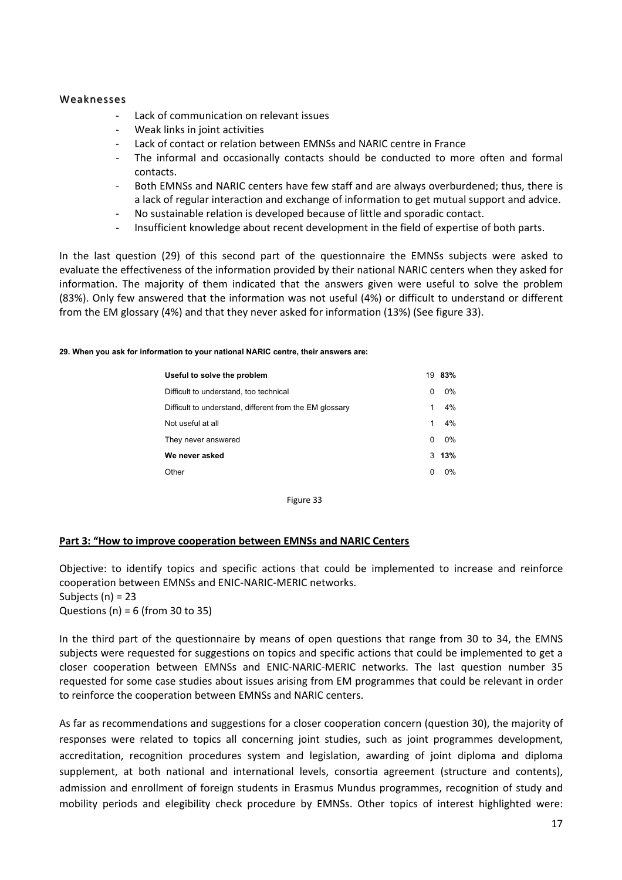## Weaknesses

- Lack of communication on relevant issues
- Weak links in joint activities
- Lack of contact or relation between EMNSs and NARIC centre in France
- The informal and occasionally contacts should be conducted to more often and formal contacts.
- Both EMNSs and NARIC centers have few staff and are always overburdened; thus, there is a lack of regular interaction and exchange of information to get mutual support and advice.
- No sustainable relation is developed because of little and sporadic contact.
- Insufficient knowledge about recent development in the field of expertise of both parts.

In the last question (29) of this second part of the questionnaire the EMNSs subjects were asked to evaluate the effectiveness of the information provided by their national NARIC centers when they asked for information. The majority of them indicated that the answers given were useful to solve the problem (83%). Only few answered that the information was not useful (4%) or difficult to understand or different from the EM glossary (4%) and that they never asked for information (13%) (See figure 33).

## **29. When you ask for information to your national NARIC centre, their answers are:**

| Useful to solve the problem                             | 19       | 83%   |
|---------------------------------------------------------|----------|-------|
| Difficult to understand, too technical                  | $\Omega$ | 0%    |
| Difficult to understand, different from the EM glossary | 1        | 4%    |
| Not useful at all                                       | 1        | 4%    |
| They never answered                                     | $\Omega$ | 0%    |
| We never asked                                          |          | 3.13% |
| Other                                                   | $\Omega$ | 0%    |
|                                                         |          |       |

Figure 33

## **Part 3: "How to improve cooperation between EMNSs and NARIC Centers**

Objective: to identify topics and specific actions that could be implemented to increase and reinforce cooperation between EMNSs and ENIC-NARIC-MERIC networks. Subjects (n) =  $23$ Questions (n) =  $6$  (from 30 to 35)

In the third part of the questionnaire by means of open questions that range from 30 to 34, the EMNS subjects were requested for suggestions on topics and specific actions that could be implemented to get a closer cooperation between EMNSs and ENIC-NARIC-MERIC networks. The last question number 35 requested for some case studies about issues arising from EM programmes that could be relevant in order to reinforce the cooperation between EMNSs and NARIC centers.

As far as recommendations and suggestions for a closer cooperation concern (question 30), the majority of responses were related to topics all concerning joint studies, such as joint programmes development, accreditation, recognition procedures system and legislation, awarding of joint diploma and diploma supplement, at both national and international levels, consortia agreement (structure and contents), admission and enrollment of foreign students in Erasmus Mundus programmes, recognition of study and mobility periods and elegibility check procedure by EMNSs. Other topics of interest highlighted were: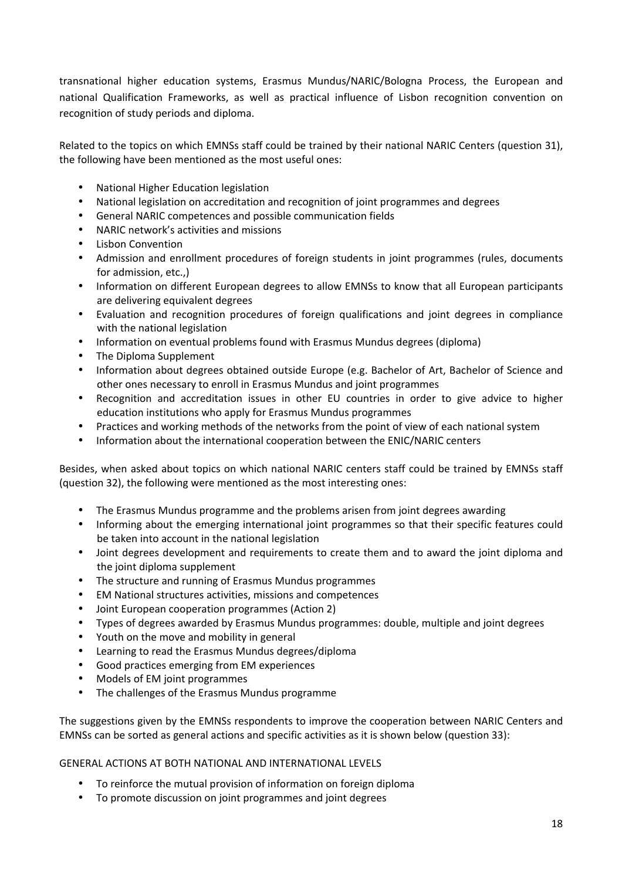transnational higher education systems, Erasmus Mundus/NARIC/Bologna Process, the European and national Qualification Frameworks, as well as practical influence of Lisbon recognition convention on recognition of study periods and diploma.

Related to the topics on which EMNSs staff could be trained by their national NARIC Centers (question 31), the following have been mentioned as the most useful ones:

- National Higher Education legislation
- National legislation on accreditation and recognition of joint programmes and degrees
- General NARIC competences and possible communication fields
- NARIC network's activities and missions
- **Lisbon Convention**
- Admission and enrollment procedures of foreign students in joint programmes (rules, documents for admission, etc..)
- Information on different European degrees to allow EMNSs to know that all European participants are delivering equivalent degrees
- Evaluation and recognition procedures of foreign qualifications and joint degrees in compliance with the national legislation
- Information on eventual problems found with Erasmus Mundus degrees (diploma)
- The Diploma Supplement
- Information about degrees obtained outside Europe (e.g. Bachelor of Art, Bachelor of Science and other ones necessary to enroll in Erasmus Mundus and joint programmes
- Recognition and accreditation issues in other EU countries in order to give advice to higher education institutions who apply for Erasmus Mundus programmes
- Practices and working methods of the networks from the point of view of each national system
- Information about the international cooperation between the ENIC/NARIC centers

Besides, when asked about topics on which national NARIC centers staff could be trained by EMNSs staff (question 32), the following were mentioned as the most interesting ones:

- The Erasmus Mundus programme and the problems arisen from joint degrees awarding
- Informing about the emerging international joint programmes so that their specific features could be taken into account in the national legislation
- Joint degrees development and requirements to create them and to award the joint diploma and the joint diploma supplement
- The structure and running of Erasmus Mundus programmes
- EM National structures activities, missions and competences
- Joint European cooperation programmes (Action 2)
- Types of degrees awarded by Erasmus Mundus programmes: double, multiple and joint degrees
- Youth on the move and mobility in general
- Learning to read the Erasmus Mundus degrees/diploma
- Good practices emerging from EM experiences
- Models of EM joint programmes
- The challenges of the Erasmus Mundus programme

The suggestions given by the EMNSs respondents to improve the cooperation between NARIC Centers and EMNSs can be sorted as general actions and specific activities as it is shown below (question 33):

# GENERAL ACTIONS AT BOTH NATIONAL AND INTERNATIONAL LEVELS

- To reinforce the mutual provision of information on foreign diploma
- To promote discussion on joint programmes and joint degrees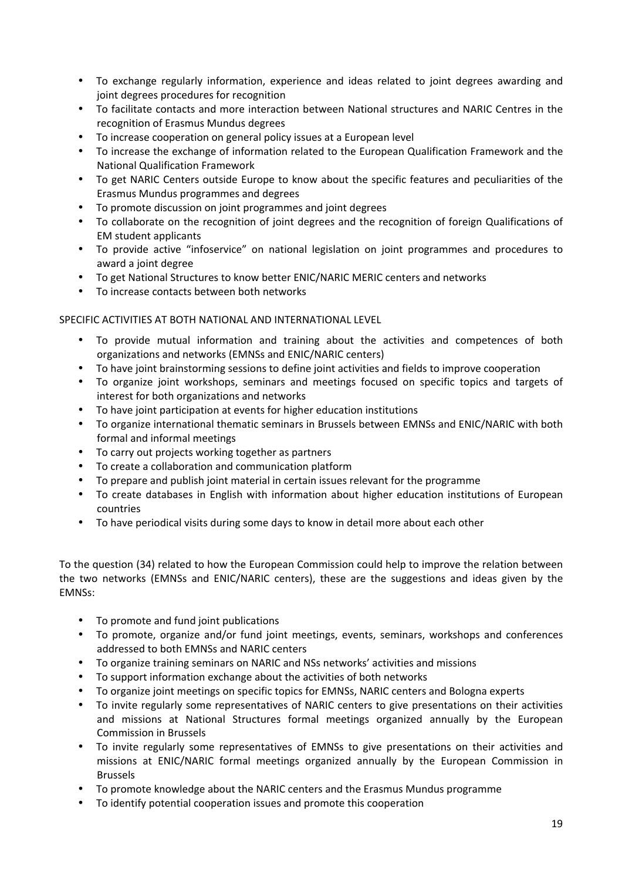- To exchange regularly information, experience and ideas related to joint degrees awarding and joint degrees procedures for recognition
- To facilitate contacts and more interaction between National structures and NARIC Centres in the recognition of Erasmus Mundus degrees
- To increase cooperation on general policy issues at a European level
- To increase the exchange of information related to the European Qualification Framework and the National Qualification Framework
- To get NARIC Centers outside Europe to know about the specific features and peculiarities of the Erasmus Mundus programmes and degrees
- To promote discussion on joint programmes and joint degrees
- To collaborate on the recognition of joint degrees and the recognition of foreign Qualifications of EM student applicants
- To provide active "infoservice" on national legislation on ioint programmes and procedures to award a joint degree
- To get National Structures to know better ENIC/NARIC MERIC centers and networks
- To increase contacts between both networks

# SPECIFIC ACTIVITIES AT BOTH NATIONAL AND INTERNATIONAL LEVEL

- To provide mutual information and training about the activities and competences of both organizations and networks (EMNSs and ENIC/NARIC centers)
- To have joint brainstorming sessions to define joint activities and fields to improve cooperation
- To organize joint workshops, seminars and meetings focused on specific topics and targets of interest for both organizations and networks
- To have joint participation at events for higher education institutions
- To organize international thematic seminars in Brussels between EMNSs and ENIC/NARIC with both formal and informal meetings
- To carry out projects working together as partners
- To create a collaboration and communication platform
- To prepare and publish joint material in certain issues relevant for the programme
- To create databases in English with information about higher education institutions of European countries
- To have periodical visits during some days to know in detail more about each other

To the question (34) related to how the European Commission could help to improve the relation between the two networks (EMNSs and ENIC/NARIC centers), these are the suggestions and ideas given by the EMNSs:

- To promote and fund joint publications
- To promote, organize and/or fund joint meetings, events, seminars, workshops and conferences addressed to both EMNSs and NARIC centers
- To organize training seminars on NARIC and NSs networks' activities and missions
- To support information exchange about the activities of both networks
- To organize joint meetings on specific topics for EMNSs, NARIC centers and Bologna experts
- To invite regularly some representatives of NARIC centers to give presentations on their activities and missions at National Structures formal meetings organized annually by the European **Commission in Brussels**
- To invite regularly some representatives of EMNSs to give presentations on their activities and missions at ENIC/NARIC formal meetings organized annually by the European Commission in Brussels
- To promote knowledge about the NARIC centers and the Erasmus Mundus programme
- To identify potential cooperation issues and promote this cooperation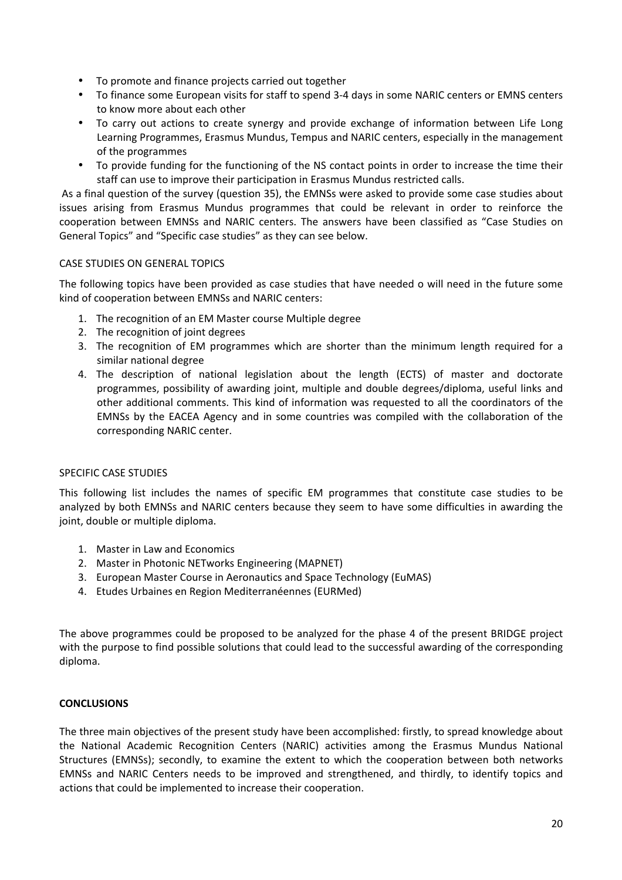- To promote and finance projects carried out together
- To finance some European visits for staff to spend 3-4 days in some NARIC centers or EMNS centers to know more about each other
- To carry out actions to create synergy and provide exchange of information between Life Long Learning Programmes, Erasmus Mundus, Tempus and NARIC centers, especially in the management of the programmes
- To provide funding for the functioning of the NS contact points in order to increase the time their staff can use to improve their participation in Erasmus Mundus restricted calls.

As a final question of the survey (question 35), the EMNSs were asked to provide some case studies about issues arising from Erasmus Mundus programmes that could be relevant in order to reinforce the cooperation between EMNSs and NARIC centers. The answers have been classified as "Case Studies on General Topics" and "Specific case studies" as they can see below.

# CASE STUDIES ON GENERAL TOPICS

The following topics have been provided as case studies that have needed o will need in the future some kind of cooperation between EMNSs and NARIC centers:

- 1. The recognition of an EM Master course Multiple degree
- 2. The recognition of joint degrees
- 3. The recognition of EM programmes which are shorter than the minimum length required for a similar national degree
- 4. The description of national legislation about the length (ECTS) of master and doctorate programmes, possibility of awarding joint, multiple and double degrees/diploma, useful links and other additional comments. This kind of information was requested to all the coordinators of the EMNSs by the EACEA Agency and in some countries was compiled with the collaboration of the corresponding NARIC center.

# SPECIFIC CASE STUDIES

This following list includes the names of specific EM programmes that constitute case studies to be analyzed by both EMNSs and NARIC centers because they seem to have some difficulties in awarding the joint, double or multiple diploma.

- 1. Master in Law and Economics
- 2. Master in Photonic NETworks Engineering (MAPNET)
- 3. European Master Course in Aeronautics and Space Technology (EuMAS)
- 4. Etudes Urbaines en Region Mediterranéennes (EURMed)

The above programmes could be proposed to be analyzed for the phase 4 of the present BRIDGE project with the purpose to find possible solutions that could lead to the successful awarding of the corresponding diploma.

# **CONCLUSIONS**

The three main objectives of the present study have been accomplished: firstly, to spread knowledge about the National Academic Recognition Centers (NARIC) activities among the Erasmus Mundus National Structures (EMNSs); secondly, to examine the extent to which the cooperation between both networks EMNSs and NARIC Centers needs to be improved and strengthened, and thirdly, to identify topics and actions that could be implemented to increase their cooperation.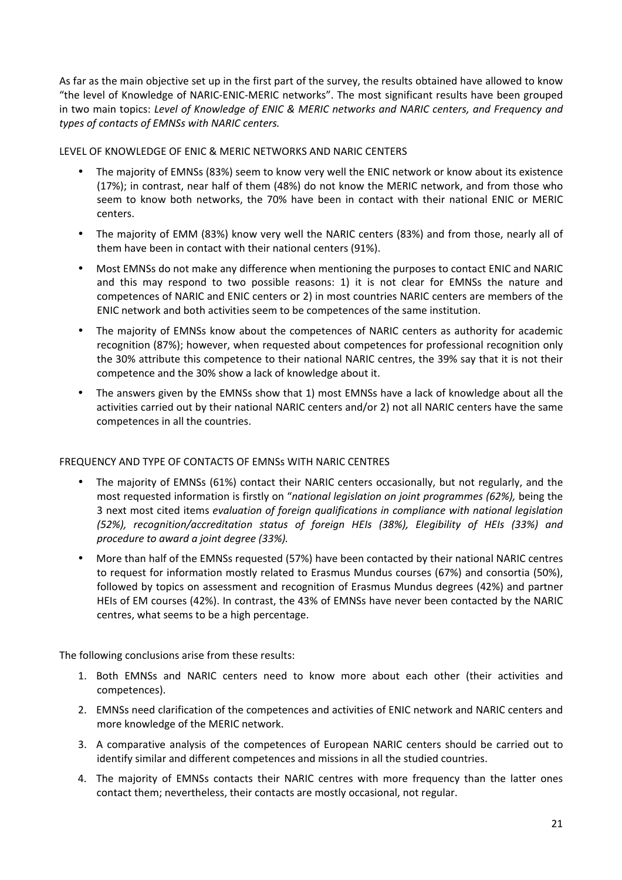As far as the main objective set up in the first part of the survey, the results obtained have allowed to know "the level of Knowledge of NARIC-ENIC-MERIC networks". The most significant results have been grouped in two main topics: *Level of Knowledge of ENIC & MERIC networks and NARIC centers, and Frequency and* types of contacts of EMNSs with NARIC centers.

LEVEL OF KNOWLEDGE OF ENIC & MERIC NETWORKS AND NARIC CENTERS

- The majority of EMNSs (83%) seem to know very well the ENIC network or know about its existence (17%); in contrast, near half of them (48%) do not know the MERIC network, and from those who seem to know both networks, the 70% have been in contact with their national ENIC or MERIC centers.
- The majority of EMM (83%) know very well the NARIC centers (83%) and from those, nearly all of them have been in contact with their national centers (91%).
- Most EMNSs do not make any difference when mentioning the purposes to contact ENIC and NARIC and this may respond to two possible reasons: 1) it is not clear for EMNSs the nature and competences of NARIC and ENIC centers or 2) in most countries NARIC centers are members of the ENIC network and both activities seem to be competences of the same institution.
- The majority of EMNSs know about the competences of NARIC centers as authority for academic recognition (87%); however, when requested about competences for professional recognition only the 30% attribute this competence to their national NARIC centres, the 39% say that it is not their competence and the 30% show a lack of knowledge about it.
- The answers given by the EMNSs show that 1) most EMNSs have a lack of knowledge about all the activities carried out by their national NARIC centers and/or 2) not all NARIC centers have the same competences in all the countries.

# FREQUENCY AND TYPE OF CONTACTS OF EMNSS WITH NARIC CENTRES

- The majority of EMNSs (61%) contact their NARIC centers occasionally, but not regularly, and the most requested information is firstly on "*national legislation on joint programmes (62%)*, being the 3 next most cited items *evaluation of foreign qualifications in compliance with national legislation* (52%), recognition/accreditation status of foreign HEIs (38%), Elegibility of HEIs (33%) and *procedure to award a joint degree (33%).*
- More than half of the EMNSs requested (57%) have been contacted by their national NARIC centres to request for information mostly related to Erasmus Mundus courses (67%) and consortia (50%), followed by topics on assessment and recognition of Erasmus Mundus degrees (42%) and partner HEIs of EM courses (42%). In contrast, the 43% of EMNSs have never been contacted by the NARIC centres, what seems to be a high percentage.

The following conclusions arise from these results:

- 1. Both EMNSs and NARIC centers need to know more about each other (their activities and competences).
- 2. EMNSs need clarification of the competences and activities of ENIC network and NARIC centers and more knowledge of the MERIC network.
- 3. A comparative analysis of the competences of European NARIC centers should be carried out to identify similar and different competences and missions in all the studied countries.
- 4. The majority of EMNSs contacts their NARIC centres with more frequency than the latter ones contact them; nevertheless, their contacts are mostly occasional, not regular.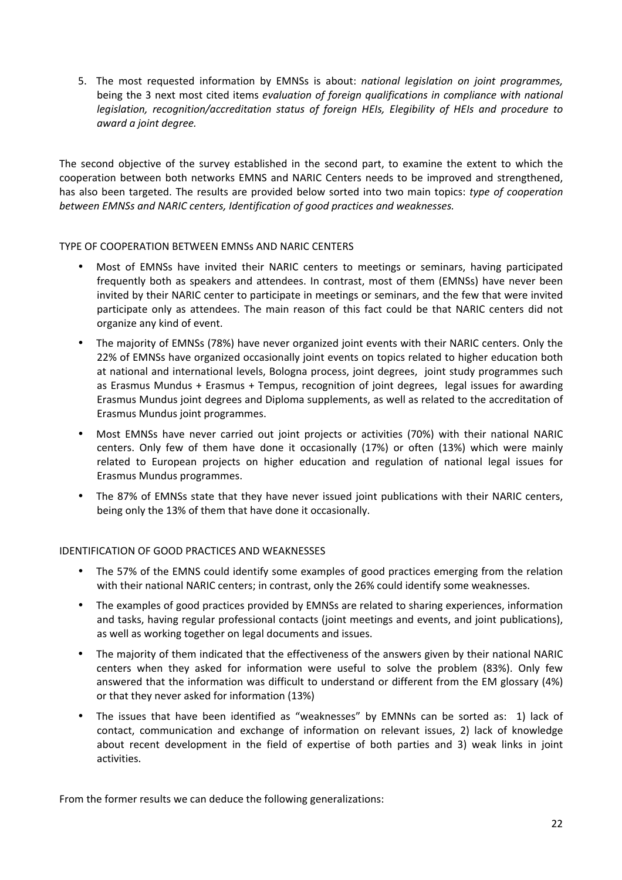5. The most requested information by EMNSs is about: *national legislation on joint programmes*, being the 3 next most cited items *evaluation of foreign qualifications in compliance with national legislation, recognition/accreditation status of foreign HEIs, Elegibility of HEIs and procedure to award\$a\$joint\$degree.*

The second objective of the survey established in the second part, to examine the extent to which the cooperation between both networks EMNS and NARIC Centers needs to be improved and strengthened, has also been targeted. The results are provided below sorted into two main topics: *type of cooperation* between EMNSs and NARIC centers, Identification of good practices and weaknesses.

# TYPE OF COOPERATION BETWEEN EMNSS AND NARIC CENTERS

- Most of EMNSs have invited their NARIC centers to meetings or seminars, having participated frequently both as speakers and attendees. In contrast, most of them (EMNSs) have never been invited by their NARIC center to participate in meetings or seminars, and the few that were invited participate only as attendees. The main reason of this fact could be that NARIC centers did not organize any kind of event.
- The majority of EMNSs (78%) have never organized joint events with their NARIC centers. Only the 22% of EMNSs have organized occasionally joint events on topics related to higher education both at national and international levels, Bologna process, joint degrees, joint study programmes such as Erasmus Mundus + Erasmus + Tempus, recognition of joint degrees, legal issues for awarding Erasmus Mundus joint degrees and Diploma supplements, as well as related to the accreditation of Erasmus Mundus joint programmes.
- Most EMNSs have never carried out joint projects or activities (70%) with their national NARIC centers. Only few of them have done it occasionally (17%) or often (13%) which were mainly related to European projects on higher education and regulation of national legal issues for Erasmus Mundus programmes.
- The 87% of EMNSs state that they have never issued joint publications with their NARIC centers, being only the 13% of them that have done it occasionally.

# IDENTIFICATION OF GOOD PRACTICES AND WEAKNESSES

- The 57% of the EMNS could identify some examples of good practices emerging from the relation with their national NARIC centers; in contrast, only the 26% could identify some weaknesses.
- The examples of good practices provided by EMNSs are related to sharing experiences, information and tasks, having regular professional contacts (joint meetings and events, and joint publications), as well as working together on legal documents and issues.
- The majority of them indicated that the effectiveness of the answers given by their national NARIC centers when they asked for information were useful to solve the problem (83%). Only few answered that the information was difficult to understand or different from the EM glossary (4%) or that they never asked for information (13%)
- The issues that have been identified as "weaknesses" by EMNNs can be sorted as: 1) lack of contact, communication and exchange of information on relevant issues, 2) lack of knowledge about recent development in the field of expertise of both parties and 3) weak links in joint activities.

From the former results we can deduce the following generalizations: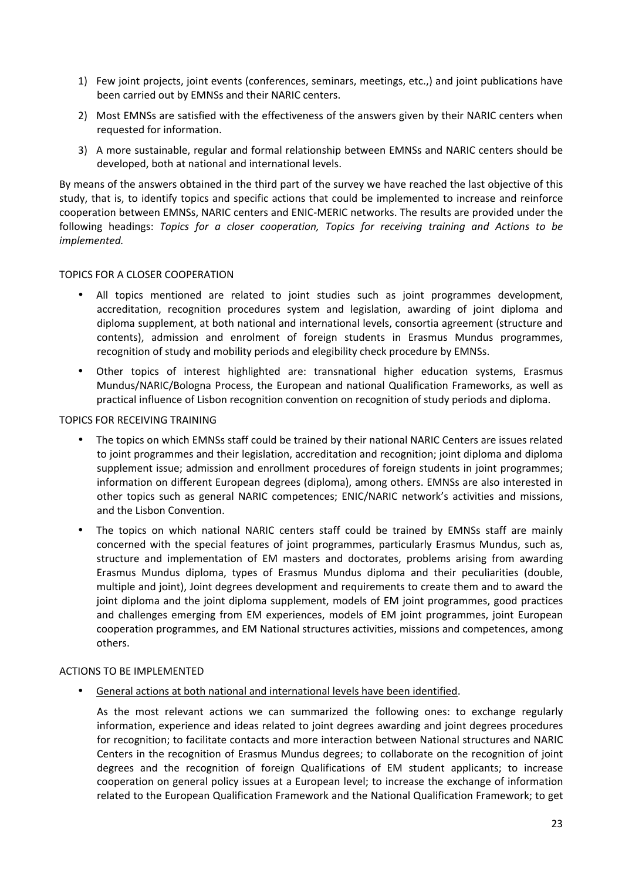- 1) Few joint projects, joint events (conferences, seminars, meetings, etc.,) and joint publications have been carried out by EMNSs and their NARIC centers.
- 2) Most EMNSs are satisfied with the effectiveness of the answers given by their NARIC centers when requested for information.
- 3) A more sustainable, regular and formal relationship between EMNSs and NARIC centers should be developed, both at national and international levels.

By means of the answers obtained in the third part of the survey we have reached the last objective of this study, that is, to identify topics and specific actions that could be implemented to increase and reinforce cooperation between EMNSs, NARIC centers and ENIC-MERIC networks. The results are provided under the following headings: *Topics for a closer cooperation, Topics for receiving training and Actions to be implemented.\$\$\$*

# TOPICS FOR A CLOSER COOPERATION

- All topics mentioned are related to ioint studies such as ioint programmes development, accreditation, recognition procedures system and legislation, awarding of joint diploma and diploma supplement, at both national and international levels, consortia agreement (structure and contents), admission and enrolment of foreign students in Erasmus Mundus programmes, recognition of study and mobility periods and elegibility check procedure by EMNSs.
- Other topics of interest highlighted are: transnational higher education systems, Erasmus Mundus/NARIC/Bologna Process, the European and national Qualification Frameworks, as well as practical influence of Lisbon recognition convention on recognition of study periods and diploma.

TOPICS FOR RECEIVING TRAINING.

- The topics on which EMNSs staff could be trained by their national NARIC Centers are issues related to joint programmes and their legislation, accreditation and recognition; joint diploma and diploma supplement issue; admission and enrollment procedures of foreign students in joint programmes; information on different European degrees (diploma), among others. EMNSs are also interested in other topics such as general NARIC competences; ENIC/NARIC network's activities and missions, and the Lisbon Convention.
- The topics on which national NARIC centers staff could be trained by EMNSs staff are mainly concerned with the special features of joint programmes, particularly Erasmus Mundus, such as, structure and implementation of EM masters and doctorates, problems arising from awarding Erasmus Mundus diploma, types of Erasmus Mundus diploma and their peculiarities (double, multiple and joint), Joint degrees development and requirements to create them and to award the joint diploma and the joint diploma supplement, models of EM joint programmes, good practices and challenges emerging from EM experiences, models of EM joint programmes, joint European cooperation programmes, and EM National structures activities, missions and competences, among others.

# ACTIONS TO BE IMPLEMENTED

General actions at both national and international levels have been identified.

As the most relevant actions we can summarized the following ones: to exchange regularly information, experience and ideas related to joint degrees awarding and joint degrees procedures for recognition; to facilitate contacts and more interaction between National structures and NARIC Centers in the recognition of Erasmus Mundus degrees; to collaborate on the recognition of joint degrees and the recognition of foreign Qualifications of EM student applicants; to increase cooperation on general policy issues at a European level; to increase the exchange of information related to the European Qualification Framework and the National Qualification Framework; to get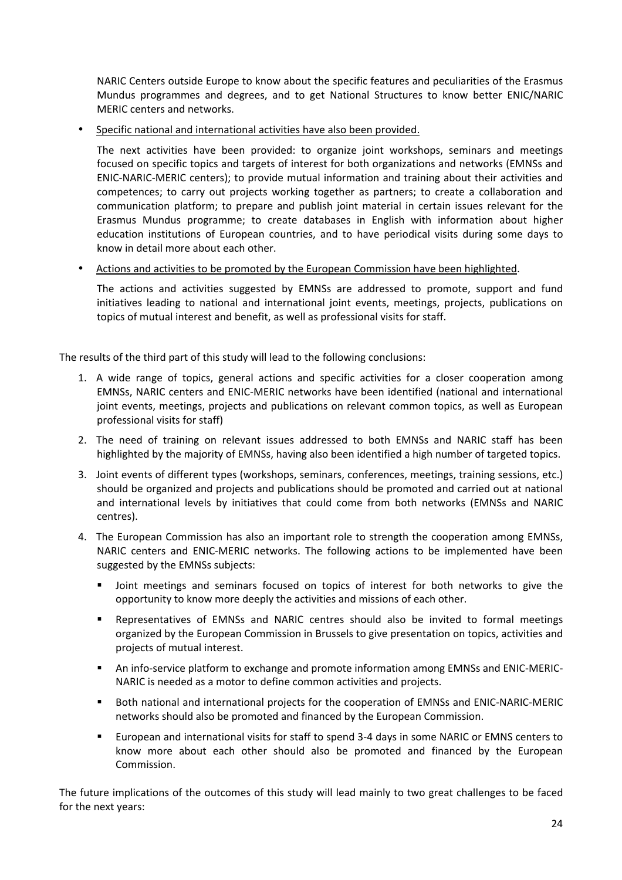NARIC Centers outside Europe to know about the specific features and peculiarities of the Erasmus Mundus programmes and degrees, and to get National Structures to know better ENIC/NARIC MERIC centers and networks.

Specific national and international activities have also been provided.

The next activities have been provided: to organize joint workshops, seminars and meetings focused on specific topics and targets of interest for both organizations and networks (EMNSs and ENIC-NARIC-MERIC centers); to provide mutual information and training about their activities and competences; to carry out projects working together as partners; to create a collaboration and communication platform; to prepare and publish joint material in certain issues relevant for the Erasmus Mundus programme; to create databases in English with information about higher education institutions of European countries, and to have periodical visits during some days to know in detail more about each other.

Actions and activities to be promoted by the European Commission have been highlighted.

The actions and activities suggested by EMNSs are addressed to promote, support and fund initiatives leading to national and international joint events, meetings, projects, publications on topics of mutual interest and benefit, as well as professional visits for staff.

The results of the third part of this study will lead to the following conclusions:

- 1. A wide range of topics, general actions and specific activities for a closer cooperation among EMNSs, NARIC centers and ENIC-MERIC networks have been identified (national and international joint events, meetings, projects and publications on relevant common topics, as well as European professional visits for staff)
- 2. The need of training on relevant issues addressed to both EMNSs and NARIC staff has been highlighted by the majority of EMNSs, having also been identified a high number of targeted topics.
- 3. Joint events of different types (workshops, seminars, conferences, meetings, training sessions, etc.) should be organized and projects and publications should be promoted and carried out at national and international levels by initiatives that could come from both networks (EMNSs and NARIC centres).
- 4. The European Commission has also an important role to strength the cooperation among EMNSs, NARIC centers and ENIC-MERIC networks. The following actions to be implemented have been suggested by the EMNSs subjects:
	- Joint meetings and seminars focused on topics of interest for both networks to give the opportunity to know more deeply the activities and missions of each other.
	- Representatives of EMNSs and NARIC centres should also be invited to formal meetings organized by the European Commission in Brussels to give presentation on topics, activities and projects of mutual interest.
	- An info-service platform to exchange and promote information among EMNSs and ENIC-MERIC-NARIC is needed as a motor to define common activities and projects.
	- Both national and international projects for the cooperation of EMNSs and ENIC-NARIC-MERIC networks should also be promoted and financed by the European Commission.
	- European and international visits for staff to spend 3-4 days in some NARIC or EMNS centers to know more about each other should also be promoted and financed by the European Commission.

The future implications of the outcomes of this study will lead mainly to two great challenges to be faced for the next years: